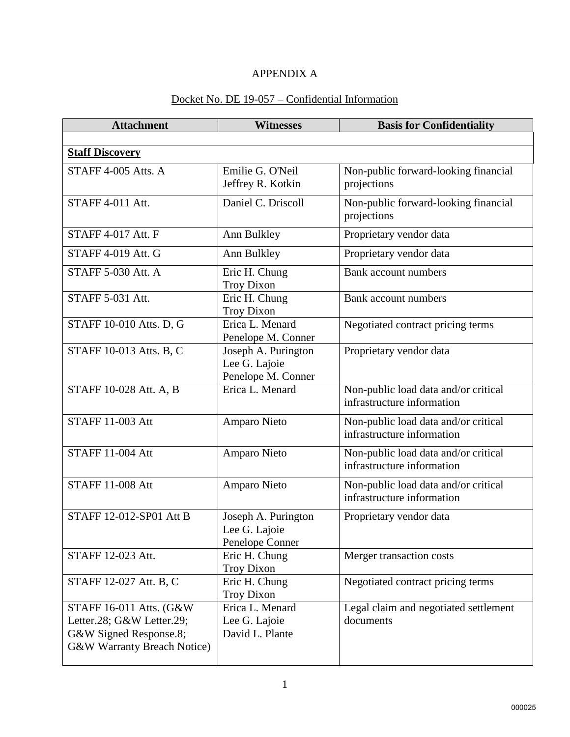## APPENDIX A

## Docket No. DE 19-057 – Confidential Information

| <b>Attachment</b>                                                                                             | <b>Witnesses</b>                                           | <b>Basis for Confidentiality</b>                                   |
|---------------------------------------------------------------------------------------------------------------|------------------------------------------------------------|--------------------------------------------------------------------|
|                                                                                                               |                                                            |                                                                    |
| <b>Staff Discovery</b>                                                                                        |                                                            |                                                                    |
| STAFF 4-005 Atts. A                                                                                           | Emilie G. O'Neil<br>Jeffrey R. Kotkin                      | Non-public forward-looking financial<br>projections                |
| STAFF 4-011 Att.                                                                                              | Daniel C. Driscoll                                         | Non-public forward-looking financial<br>projections                |
| <b>STAFF 4-017 Att. F</b>                                                                                     | Ann Bulkley                                                | Proprietary vendor data                                            |
| <b>STAFF 4-019 Att. G</b>                                                                                     | Ann Bulkley                                                | Proprietary vendor data                                            |
| <b>STAFF 5-030 Att. A</b>                                                                                     | Eric H. Chung<br><b>Troy Dixon</b>                         | <b>Bank account numbers</b>                                        |
| <b>STAFF 5-031 Att.</b>                                                                                       | Eric H. Chung<br><b>Troy Dixon</b>                         | <b>Bank account numbers</b>                                        |
| STAFF 10-010 Atts. D, G                                                                                       | Erica L. Menard<br>Penelope M. Conner                      | Negotiated contract pricing terms                                  |
| STAFF 10-013 Atts. B, C                                                                                       | Joseph A. Purington<br>Lee G. Lajoie<br>Penelope M. Conner | Proprietary vendor data                                            |
| STAFF 10-028 Att. A, B                                                                                        | Erica L. Menard                                            | Non-public load data and/or critical<br>infrastructure information |
| <b>STAFF 11-003 Att</b>                                                                                       | Amparo Nieto                                               | Non-public load data and/or critical<br>infrastructure information |
| <b>STAFF 11-004 Att</b>                                                                                       | Amparo Nieto                                               | Non-public load data and/or critical<br>infrastructure information |
| <b>STAFF 11-008 Att</b>                                                                                       | Amparo Nieto                                               | Non-public load data and/or critical<br>infrastructure information |
| STAFF 12-012-SP01 Att B                                                                                       | Joseph A. Purington<br>Lee G. Lajoie<br>Penelope Conner    | Proprietary vendor data                                            |
| STAFF 12-023 Att.                                                                                             | Eric H. Chung<br><b>Troy Dixon</b>                         | Merger transaction costs                                           |
| STAFF 12-027 Att. B, C                                                                                        | Eric H. Chung<br><b>Troy Dixon</b>                         | Negotiated contract pricing terms                                  |
| STAFF 16-011 Atts. (G&W<br>Letter.28; G&W Letter.29;<br>G&W Signed Response.8;<br>G&W Warranty Breach Notice) | Erica L. Menard<br>Lee G. Lajoie<br>David L. Plante        | Legal claim and negotiated settlement<br>documents                 |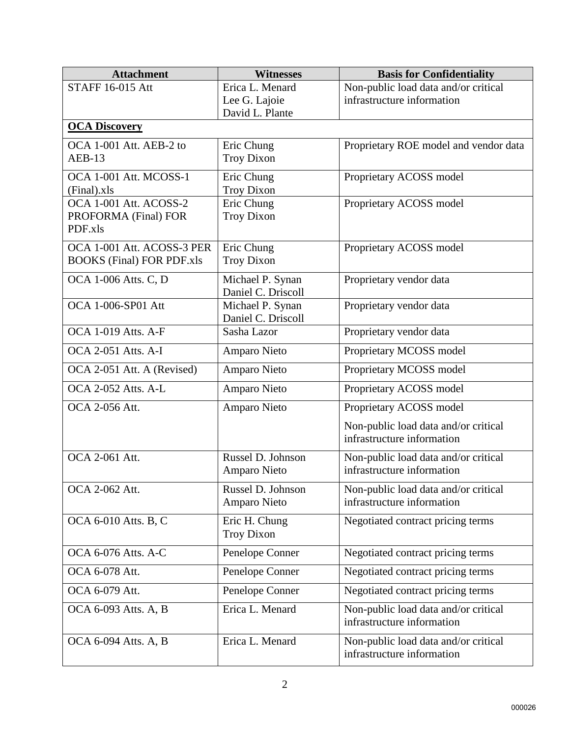| <b>Attachment</b>                | <b>Witnesses</b>                       | <b>Basis for Confidentiality</b>                                   |
|----------------------------------|----------------------------------------|--------------------------------------------------------------------|
| <b>STAFF 16-015 Att</b>          | Erica L. Menard                        | Non-public load data and/or critical                               |
|                                  | Lee G. Lajoie                          | infrastructure information                                         |
| <b>OCA Discovery</b>             | David L. Plante                        |                                                                    |
|                                  |                                        |                                                                    |
| OCA 1-001 Att. AEB-2 to          | Eric Chung                             | Proprietary ROE model and vendor data                              |
| $AEB-13$                         | <b>Troy Dixon</b>                      |                                                                    |
| OCA 1-001 Att. MCOSS-1           | Eric Chung                             | Proprietary ACOSS model                                            |
| (Final).xls                      | <b>Troy Dixon</b>                      |                                                                    |
| OCA 1-001 Att. ACOSS-2           | Eric Chung                             | Proprietary ACOSS model                                            |
| PROFORMA (Final) FOR<br>PDF.xls  | <b>Troy Dixon</b>                      |                                                                    |
|                                  |                                        |                                                                    |
| OCA 1-001 Att. ACOSS-3 PER       | Eric Chung                             | Proprietary ACOSS model                                            |
| <b>BOOKS</b> (Final) FOR PDF.xls | <b>Troy Dixon</b>                      |                                                                    |
| <b>OCA 1-006 Atts. C, D</b>      | Michael P. Synan                       | Proprietary vendor data                                            |
| OCA 1-006-SP01 Att               | Daniel C. Driscoll                     |                                                                    |
|                                  | Michael P. Synan<br>Daniel C. Driscoll | Proprietary vendor data                                            |
| <b>OCA 1-019 Atts. A-F</b>       | Sasha Lazor                            | Proprietary vendor data                                            |
| <b>OCA 2-051 Atts. A-I</b>       | Amparo Nieto                           | Proprietary MCOSS model                                            |
| OCA 2-051 Att. A (Revised)       | Amparo Nieto                           | Proprietary MCOSS model                                            |
| OCA 2-052 Atts. A-L              | Amparo Nieto                           | Proprietary ACOSS model                                            |
| OCA 2-056 Att.                   | Amparo Nieto                           | Proprietary ACOSS model                                            |
|                                  |                                        | Non-public load data and/or critical                               |
|                                  |                                        | infrastructure information                                         |
| OCA 2-061 Att.                   | Russel D. Johnson                      | Non-public load data and/or critical                               |
|                                  | Amparo Nieto                           | infrastructure information                                         |
|                                  |                                        |                                                                    |
| OCA 2-062 Att.                   | Russel D. Johnson<br>Amparo Nieto      | Non-public load data and/or critical<br>infrastructure information |
|                                  |                                        |                                                                    |
| OCA 6-010 Atts. B, C             | Eric H. Chung                          | Negotiated contract pricing terms                                  |
|                                  | <b>Troy Dixon</b>                      |                                                                    |
| <b>OCA 6-076 Atts. A-C</b>       | Penelope Conner                        | Negotiated contract pricing terms                                  |
| OCA 6-078 Att.                   | Penelope Conner                        | Negotiated contract pricing terms                                  |
| OCA 6-079 Att.                   | Penelope Conner                        | Negotiated contract pricing terms                                  |
| OCA 6-093 Atts. A, B             | Erica L. Menard                        | Non-public load data and/or critical                               |
|                                  |                                        | infrastructure information                                         |
| OCA 6-094 Atts. A, B             | Erica L. Menard                        | Non-public load data and/or critical                               |
|                                  |                                        | infrastructure information                                         |
|                                  |                                        |                                                                    |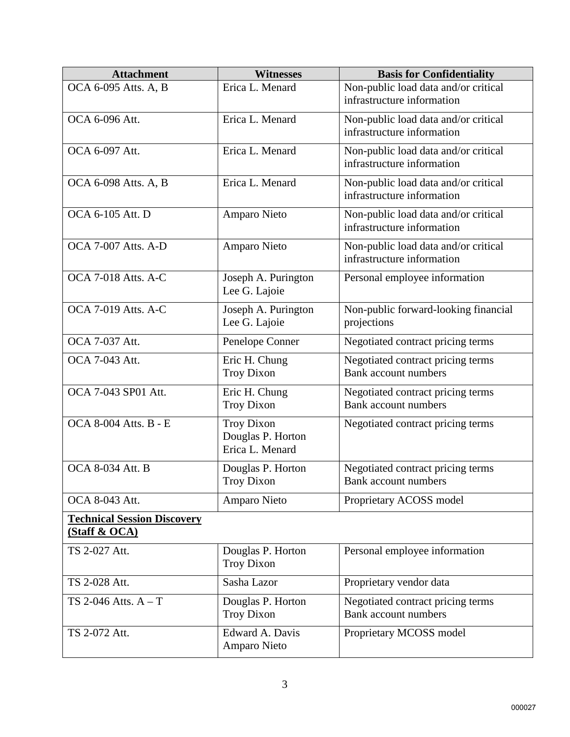| <b>Attachment</b>                                              | <b>Witnesses</b>                                          | <b>Basis for Confidentiality</b>                                   |
|----------------------------------------------------------------|-----------------------------------------------------------|--------------------------------------------------------------------|
| OCA 6-095 Atts. A, B                                           | Erica L. Menard                                           | Non-public load data and/or critical<br>infrastructure information |
| OCA 6-096 Att.                                                 | Erica L. Menard                                           | Non-public load data and/or critical<br>infrastructure information |
| OCA 6-097 Att.                                                 | Erica L. Menard                                           | Non-public load data and/or critical<br>infrastructure information |
| OCA 6-098 Atts. A, B                                           | Erica L. Menard                                           | Non-public load data and/or critical<br>infrastructure information |
| OCA 6-105 Att. D                                               | Amparo Nieto                                              | Non-public load data and/or critical<br>infrastructure information |
| <b>OCA 7-007 Atts. A-D</b>                                     | Amparo Nieto                                              | Non-public load data and/or critical<br>infrastructure information |
| <b>OCA 7-018 Atts. A-C</b>                                     | Joseph A. Purington<br>Lee G. Lajoie                      | Personal employee information                                      |
| <b>OCA 7-019 Atts. A-C</b>                                     | Joseph A. Purington<br>Lee G. Lajoie                      | Non-public forward-looking financial<br>projections                |
| OCA 7-037 Att.                                                 | Penelope Conner                                           | Negotiated contract pricing terms                                  |
| OCA 7-043 Att.                                                 | Eric H. Chung<br><b>Troy Dixon</b>                        | Negotiated contract pricing terms<br><b>Bank account numbers</b>   |
| OCA 7-043 SP01 Att.                                            | Eric H. Chung<br>Troy Dixon                               | Negotiated contract pricing terms<br><b>Bank account numbers</b>   |
| <b>OCA 8-004 Atts. B - E</b>                                   | <b>Troy Dixon</b><br>Douglas P. Horton<br>Erica L. Menard | Negotiated contract pricing terms                                  |
| <b>OCA 8-034 Att. B</b>                                        | Douglas P. Horton<br><b>Troy Dixon</b>                    | Negotiated contract pricing terms<br>Bank account numbers          |
| OCA 8-043 Att.                                                 | Amparo Nieto                                              | Proprietary ACOSS model                                            |
| <b>Technical Session Discovery</b><br><b>(Staff &amp; OCA)</b> |                                                           |                                                                    |
| TS 2-027 Att.                                                  | Douglas P. Horton<br><b>Troy Dixon</b>                    | Personal employee information                                      |
| TS 2-028 Att.                                                  | Sasha Lazor                                               | Proprietary vendor data                                            |
| TS 2-046 Atts. $A - T$                                         | Douglas P. Horton<br><b>Troy Dixon</b>                    | Negotiated contract pricing terms<br><b>Bank account numbers</b>   |
| TS 2-072 Att.                                                  | Edward A. Davis<br>Amparo Nieto                           | Proprietary MCOSS model                                            |